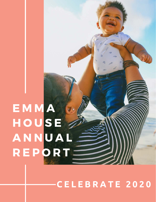### E M M A **HOUSE** ANNUAL R E P O R T =

**C E L E B R A T E 2 0 2 0**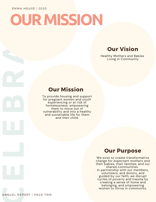# **C E L E B R A T E** A N N U A L R E P O R T | P A G E TW O **OUR MISSION**

### **Our Vision**

Healthy Mothers and Babies Living in Community

### Our Mission

To provide housing and support for pregnant women and youth experiencing or at risk of homelessness; empowering them to move out of vulnerability and into a healthy and sustainable life for them and their child.

### Our Purpose

We exist to create transformative change for expectant mothers and their babies, their families, and our shared communities. In partnership with our members, volunteers, and donors, and guided by our faith, we disrupt cycles of poverty and trauma by creating a sense of home and belonging, and empowering women to thrive in community.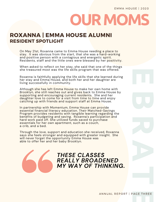### USE | 2020  **EOUR MOMS**

### ROXANNA | EMMA HOUSE ALUMNI RESIDENT SPOTLIGHT

On May 21st, Roxanna came to Emma House needing a place to stay. It was obvious from the start, that she was a hard-working and positive person with a contagious and energetic spirit. Residents, staff and the little ones were blessed by her positivity.

When asked to reflect on her stay, she said that one of the things she treasured most was the life skills program that was offered.

Roxanna is faithfully applying the life skills that she learned during her stay and Emma House, and both her and her daughter are living successfully in community.

Although she has left Emma House to make her own home with Brooklyn, she still reaches out and gives back to Emma House by supporting and encouraging current residents. She and her daughter love to come for a visit from time to time and enjoy catching up with friends and support staff at Emma House.

In partnership with Momentum, Emma House can provide essential financial literacy education. Their Matched-Savings Program provides residents with tangible learning regarding the benefits of budgeting and saving. Roxanna's participation and hard work paid off. She utilized funds saved to purchase essentials for her own apartment, such as a couch, a crib, and a bed.

Through the love, support and education she received, Roxanna says she feels stronger and equipped with greater insight. She will never forget the opportunity Emma House was able to offer her and her baby Brooklyn.

> *THESE CLASSES REALLY BROADENED MY WAY OF THINKING.*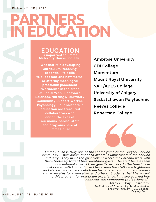### **EMMA HOUSE | 2020**

## **IN EDUCATION**

**EDUCATION is important to Emma Maternity House Society.** 

**C E L E B R A T EPARTNERS Whether it is developing curriculum, teaching essential life skills to expectant and new moms, or offering meaningful practicum placement to students in the areas of Social Work, Behavioral Sciences, Nursing & Midwifery, Community Support Worker, Psychology – our partners in education are treasured collaborators who enrich the lives of our moms, babies, staff and programs here at Emma House.**

Ambrose University CDI College Momentum Mount Royal University SAIT/ABES College University of Calgary Saskatchewan Polytechnic Reeves College Robertson College

*"Emma House is truly one of the secret gems of the Calgary Service Community. Their commitment to clients is unmatched in the service industry. They meet the guest/client where they areand work with them tirelessly toward their identified goals. The staff have a team commitment toward their guest's success. In the time I have collaborated with Emma House I have seen the staff take frightened and abused women and help them become strong confident leaders and advocates for themselves and others. Students that I have sent to this program for practicum experience, [...] have evolved into confident and competent professionals."* 

*Kathy DuGray - Instructor Addiction and Community Service Worker Diploma Program - CDI College, Calgary South* 

ANNUAL REPORT | PAGE FOUR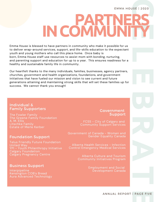### **EMMA HOUSE | 2020**

# EMMA HOUSE | 2020<br>
Emma House is blessed to have partners in community who make it possible for us<br>
to deliver wrap-around services, support, and life-skills elucation to the expectant<br>
youth and young mothers who call thi **PARTNERS IN COMMUNITY**

Emma House is blessed to have partners in community who make it possible for us to deliver wrap-around services, support, and life-skills education to the expectant youth and young mothers who call this place home. Once baby is born, Emma House staff use resources to assist mom with bonding, nurturing, and parenting support and education for up to a year. This ensures readiness for a healthy and sustainable family life in community.

Our heartfelt thanks to the many individuals, families, businesses, agency partners, churches, government and health organizations, foundations, and government initiatives that have fueled our mission and vision to see current and future generations attaining and maintaining strong skills that will set these families up for

### Individual & Family Supporters

The Fowler Family The Greene Family Foundation A. M. Ellis Litschke Family Estate of Merle Kerber

### Foundation Support

Telus Friendly Future Foundation United Way YPI - Youth Philanthropy Initiative Calgary Foundation Calgary Pregnancy Centre

### Business Support

Interpipeline Kensington COB's Bread Aura Advanced Technology

### Government Support

FCSS - City of Calgary and Community Support Services

Government of Canada - Women and Gender Equality Canada

Alberta Health Services - Infection Control Emergency Medical Services

> Alberta Culture and Tourism Community Initiatives Program

> > Employment and Social Development Canada

> > > ANNUAL REPORT | PAGE FIVE<br>|-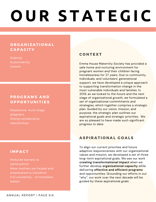### **O U R S T A T E G I C**

### **ORGANIZATIONAL CAPACITY**

**Stability Sustainability Growth** 

### P R O G R A M S A N D **O P P O R T U N I T I E S**

Responsive, multi-stage programs Strong collaborative relationships

### **CONTEXT**

Emma House Maternity Society has provided a safe home and nurturing environment for pregnant women and their children facing homelessness for 27 years. Due to community, individuals, and volunteers' generational support, we have developed a unique approach to supporting transformation change in the most vulnerable individuals and families. In 2019, as we looked to the future and the next stage of organizational growth, we formulated a set of organizational commitments and strategies, which together comprise a strategic plan. Guided by our vision, mission, and purpose, the strategic plan outlines our aspirational goals and strategic priorities. We are so pleased to have made such significant progress to date.

### ASPIRATIONAL GOALS

To align our current priorities and future adaptive responsiveness with our organizational values and mission, we developed a set of three long-term aspirational goals. We see our work **creating transformational impact** when we further develop **organizational capacity** while delivering **effective and efficient programs** and opportunities. Grounding our efforts in our "why", our work over the next decade will be guided by these aspirational goals:

### **IMPACT**

Reduced barriers to participation More mothers are helped and empowered to transform Full availability - no homeless babies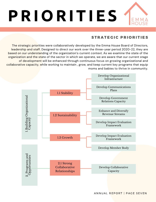

### STRATEGIC PRIORITIES

The strategic priorities were collaboratively developed by the Emma House Board of Directors, leadership and staff. Designed to direct our work over the three-year period 2020-22, they are based on our understanding of the organization's current context. As we examine the state of the organization and the state of the sector in which we operate, we are aware that our current stage of development will be enhanced through continuous focus on growing organizational and collaborative capacity, while working to maintain , grow, and keep current key programs that equip moms and babies to thrive in community.

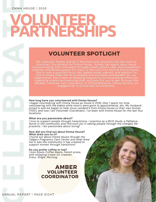### **EMMA HOUSE | 2020**

# **C E L E B R A T EVOLUNTEER PARTNERSHIPS**

### VOLUNTEER SPOTLIGHT

We celebrate Amber and all of the hard work she puts into her work as Volunteer Coordinator for Emma House. Amber has spent many hours communicating with volunteers through emails, phone calls, and newsletters and has scheduled support for many of the activities here at Emma House. She is truly a positive force. Her radiant smile, warmth, and passion for Emma House make her an incredible and priceless ambassador for our organization. She is also an amazing support to our fundraising efforts by organizing events and ensuring their success. For you to get to know this valuable volunteer and contributor to Emma Maternity House Society, we engaged her in a brief and fun interview:

### **How long have you volunteered with Emma House?**

*I began volunteering with Emma House as Doula in 2016, then I spent my time volunteering with the babes while mom's were gone to appointments, etc. My Husband joined in and we began to help move resident's from Emma House to their own homes (YES!), and now I am Volunteer Coordinator. I've been with Emma House for the last four locations.*

### **What are you passionate about?**

*I love to support people through transistions. I practice as a Birth Doula, a Palliative Nurse in the community and find such joy in seeing people through the changes life presents. I am passionate about loving!* 

### **How did you find out about Emma House? What drew you to it?**

*I found out about Emma House through the Calgary Pregnancy Care Center and what drew me in was the community it has created to support women through transitions!*

### **Do you prefer coffee or tea?**

*I love Rosso Coffee Beans, french press, with whipping cream for creamer. Every. Single. Morning.*

### AMBER VOLUNTEER **COORDINATOR**

ANNUAL REPORT | PAGE EIGHT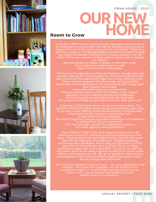





### **C**<br> **C**<br> **C**<br> **C**<br> **C EEMMA HOUSE | 2020 OUR NEW HOME**

### Room to Grow

In the fall of 2019, Horizon Housing Society approached Emma House anks to a<br>n Housing<br>now call<br>o double<br>. to collaborate in a partnership that saw an incredible opportunity to impact the lives of the youth, young women, and babies. Thanks to a generous donation from the glasswaters foundation, Horizon Housing purchased the beautiful building Emma House residents now call home. This former convent would provide an opportunity to double our impact.

and seemed like an answer to prayer in that fewer youth and young women searching for a safe place to live would be turned away.

planning<br>ation but<br>oo soon.<br>ntial<br>uge beart bion:<br>n,<br>d<br>h a gift.<br>pn. The<br>ere music The Board and leadership who had just finished a strategic planning process, drew up Pro-forma budgets for this potential location but were concerned this opportunity might have come a little too soon. Then a miracle happened. Simultaneously, as this potential partnership was being explored, we met someone with a huge heart who forged a new funding relationship that made our move possible. This new location made room for the fullness of our mission. Spacious common areas for learning and celebration, private living spaces and washrooms, and dedicated

office space to manage our growing community were such a gift.

residency<br>ts<br>in an In February 2020, Emma House moved to its new location. The sounds of moms and babies adventuring and interacting were music to our ears. A new staffing model was developed to provide wraparound services for residents, ensuring that each unique need could be supported. We worked together to ensure successful transitions from residency to independent living in community. This move also saw a growth in collaborative supports with other agencies and organizations.

ch mom<br>emic<br>COVID<br>ouse<br>taff not<br>se cooks,<br>such an<br>t staff – Then in March, COVID-19 hit. How blessed we felt to be in an environment where IPC practices could successfully be put into place. Physical distancing was made possible because each mom had their own bedroom and washroom. Detailed pandemic procedures were developed, and, to date, we have had no COVID cases here at Emma House. Due to COVID-19, our in-house volunteer program had to be suspended. Currently, our staff not only deliver all of the life skills programs but are the in-house cooks, cleaners, and supports as well. We are so grateful to have such an amazing group of devoted and skilled program and support staff – we are stronger than this storm!

**tion and<br>olid**<br>*w* for<br>**d** We thank all friends of Emma House – for your dedication and support. We know that together, we can build a solid foundation today to create bright futures tomorrow for these youth, young women, and babies to build healthy lives in community.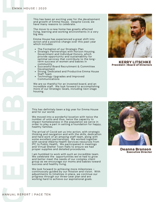This has been an exciting year for the development and growth of Emma House. Despite Covid, we have many reasons to celebrate.

The move to a new home has greatly affected living, learning and working environments in a very big way.

Emma House has experienced a great shift into action and a positive change over this past year which includes:

- 
- Strategic Partnerships with Horizon Housing, Government and Individual Donors, which provide opportunity and sustainability for optimal services that contribute to the longterm success of women and babies in community
- Successful Board Recruitment & Committee Development
- Strong, Dedicated and Productive Emma House Staff Team
- Technology Upgrades and Improved Communications

We are so thankful for an invested board, and an incredible staff. We look forward to accomplishing more of our Strategic Goals, including next stage housing.



KERRY LITSCHKE President | Board of Directors

This has definitely been a big year for Emma House and for our world.

We moved into a wonderful location with twice the number of units and thus, twice the capacity to impact homelessness in the population we serve in order to play a part in setting a foundation for happy, healthy families.

**C E L E B R A T E** The Formation of our Strategic Plan The arrival of Covid set us into action, with strategic thinking and navigation and with the skills, dedication and hard work of an amazing staff team, along with some excellent partnerships. We worked together with several Alberta Health Services resources from IPC to Public Health. We participated in meetings and Virtual Shelter Town Halls to ensure we had proper supplies and detailed procedures.

I am humbled to work with such an incredible team. We celebrate the opportunities we've had to grow and better meet the needs of our complex client group as we encourage our moms and babies toward success and healthy living.

We look forward to achieving more milestones – continuously guided by our mission and vision. With adjustments to timelines in place, we continue our progress through our three-year plan and are working hard to achieve our aspirational goals.



Deanna Branson Executive Director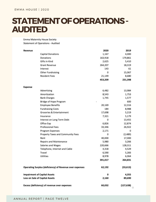### STATEMENT OF OPERATIONS -**AUDITED**

Emma Maternity House Society Statement of Operations - Audited

| Revenue                                                 |                                   | 2020       | 2019            |
|---------------------------------------------------------|-----------------------------------|------------|-----------------|
|                                                         | Capital Donations                 | 1,167      | 4,000           |
|                                                         | Donations                         | 163,918    | 179,861         |
|                                                         | Gifts in Kind                     | 2,625      | 5,410           |
|                                                         | <b>Grant Revenue</b>              | 264,207    | 18,319          |
|                                                         | Interest                          | 143        | 61              |
|                                                         | Other Fundraising                 | 0          | 15,067          |
|                                                         | <b>Resident Fees</b>              | 21,149     | 8,680           |
|                                                         |                                   | 453,209    | 231,398         |
| Expense                                                 |                                   |            |                 |
|                                                         | Advertising                       | 6,482      | 13,984          |
|                                                         | Amortization                      | 8,543      | 1,753           |
|                                                         | <b>Bank Charges</b>               | 1,745      | 1,577           |
|                                                         | Bridge of Hope Program            |            | 600             |
|                                                         | <b>Employee Benefits</b>          | 20,169     | 12,316          |
|                                                         | <b>Fundraising Costs</b>          | 184        | 8,988           |
|                                                         | Groceries & Entertainment         | 17,698     | 5,219           |
|                                                         | Insurance                         | 7,321      | 5,179           |
|                                                         | Interest on Long Term Debt        | 0          | 13,455          |
|                                                         | Office Exp                        | 6,826      | 12,874          |
|                                                         | <b>Professional Fees</b>          | 33,346     | 26,922          |
|                                                         | Program Expenses                  | 2,171      | 0               |
|                                                         | Property Taxes and Community Fees | 0          | (2, 489)        |
|                                                         | Rent                              | 40,000     | 17,000          |
|                                                         | Repairs and Maintenance           | 5,980      | 3,266           |
|                                                         | Salaries and Wages                | 220,666    | 128,311         |
|                                                         | Telephone, Internet and Cable     | 4,318      | 4,529           |
|                                                         | Travel                            | 6,590      | 5,283           |
|                                                         | Utilities                         | 8,978      | 6,064           |
|                                                         |                                   | 391,017    | 264,831         |
| Operating Surplus (deficiency) of Revenue over expenses |                                   | 62,192     | (33, 613)       |
| <b>Impairment of Capital Assets</b>                     |                                   | 0<br>2,160 | 4,355<br>89,690 |
| Loss on Sale of Capital Assets                          |                                   |            |                 |
| Excess (deficiency) of revenue over expenses            |                                   | 60,032     | (127, 638)<br>o |